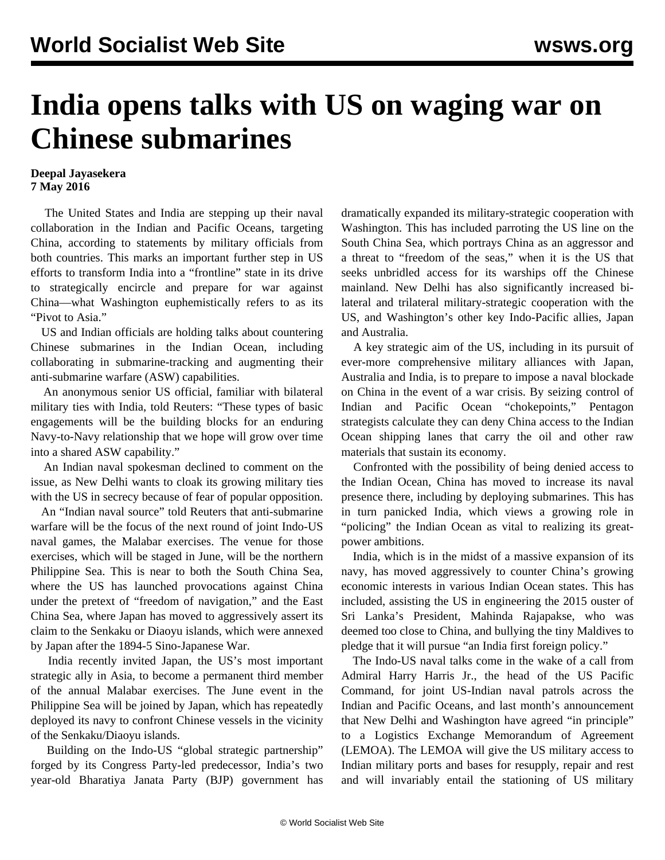## **India opens talks with US on waging war on Chinese submarines**

## **Deepal Jayasekera 7 May 2016**

 The United States and India are stepping up their naval collaboration in the Indian and Pacific Oceans, targeting China, according to statements by military officials from both countries. This marks an important further step in US efforts to transform India into a "frontline" state in its drive to strategically encircle and prepare for war against China—what Washington euphemistically refers to as its "Pivot to Asia."

 US and Indian officials are holding talks about countering Chinese submarines in the Indian Ocean, including collaborating in submarine-tracking and augmenting their anti-submarine warfare (ASW) capabilities.

 An anonymous senior US official, familiar with bilateral military ties with India, told Reuters: "These types of basic engagements will be the building blocks for an enduring Navy-to-Navy relationship that we hope will grow over time into a shared ASW capability."

 An Indian naval spokesman declined to comment on the issue, as New Delhi wants to cloak its growing military ties with the US in secrecy because of fear of popular opposition.

 An "Indian naval source" told Reuters that anti-submarine warfare will be the focus of the next round of joint Indo-US naval games, the Malabar exercises. The venue for those exercises, which will be staged in June, will be the northern Philippine Sea. This is near to both the South China Sea, where the US has launched provocations against China under the pretext of "freedom of navigation," and the East China Sea, where Japan has moved to aggressively assert its claim to the Senkaku or Diaoyu islands, which were annexed by Japan after the 1894-5 Sino-Japanese War.

 India recently invited Japan, the US's most important strategic ally in Asia, to become a permanent third member of the annual Malabar exercises. The June event in the Philippine Sea will be joined by Japan, which has repeatedly deployed its navy to confront Chinese vessels in the vicinity of the Senkaku/Diaoyu islands.

 Building on the Indo-US "global strategic partnership" forged by its Congress Party-led predecessor, India's two year-old Bharatiya Janata Party (BJP) government has dramatically expanded its military-strategic cooperation with Washington. This has included parroting the US line on the South China Sea, which portrays China as an aggressor and a threat to "freedom of the seas," when it is the US that seeks unbridled access for its warships off the Chinese mainland. New Delhi has also significantly increased bilateral and trilateral military-strategic cooperation with the US, and Washington's other key Indo-Pacific allies, Japan and Australia.

 A key strategic aim of the US, including in its pursuit of ever-more comprehensive military alliances with Japan, Australia and India, is to prepare to impose a naval blockade on China in the event of a war crisis. By seizing control of Indian and Pacific Ocean "chokepoints," Pentagon strategists calculate they can deny China access to the Indian Ocean shipping lanes that carry the oil and other raw materials that sustain its economy.

 Confronted with the possibility of being denied access to the Indian Ocean, China has moved to increase its naval presence there, including by deploying submarines. This has in turn panicked India, which views a growing role in "policing" the Indian Ocean as vital to realizing its greatpower ambitions.

 India, which is in the midst of a massive expansion of its navy, has moved aggressively to counter China's growing economic interests in various Indian Ocean states. This has included, assisting the US in engineering the 2015 ouster of Sri Lanka's President, Mahinda Rajapakse, who was deemed too close to China, and bullying the tiny Maldives to pledge that it will pursue "an India first foreign policy."

 The Indo-US naval talks come in the wake of a call from Admiral Harry Harris Jr., the head of the US Pacific Command, for joint US-Indian naval patrols across the Indian and Pacific Oceans, and last month's announcement that New Delhi and Washington have agreed "in principle" to a Logistics Exchange Memorandum of Agreement (LEMOA). The LEMOA will give the US military access to Indian military ports and bases for resupply, repair and rest and will invariably entail the stationing of US military